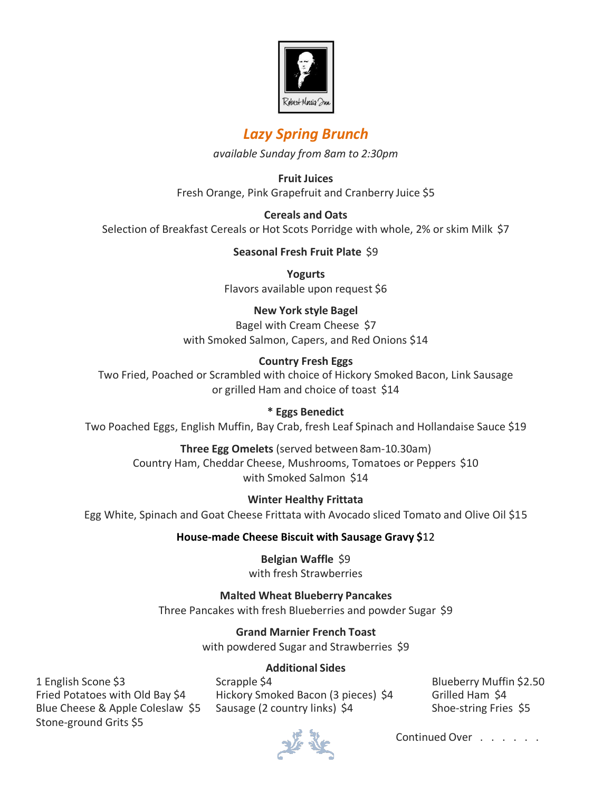

# *Lazy Spring Brunch*

*available Sunday from 8am to 2:30pm*

**Fruit Juices** Fresh Orange, Pink Grapefruit and Cranberry Juice \$5

**Cereals and Oats** Selection of Breakfast Cereals or Hot Scots Porridge with whole, 2% or skim Milk \$7

#### **Seasonal Fresh Fruit Plate** \$9

**Yogurts** Flavors available upon request \$6

#### **New York style Bagel**

Bagel with Cream Cheese \$7 with Smoked Salmon, Capers, and Red Onions \$14

#### **Country Fresh Eggs**

Two Fried, Poached or Scrambled with choice of Hickory Smoked Bacon, Link Sausage or grilled Ham and choice of toast \$14

#### **\* Eggs Benedict**

Two Poached Eggs, English Muffin, Bay Crab, fresh Leaf Spinach and Hollandaise Sauce \$19

**Three Egg Omelets** (served between 8am-10.30am) Country Ham, Cheddar Cheese, Mushrooms, Tomatoes or Peppers \$10 with Smoked Salmon \$14

**Winter Healthy Frittata** Egg White, Spinach and Goat Cheese Frittata with Avocado sliced Tomato and Olive Oil \$15

## **House-made Cheese Biscuit with Sausage Gravy \$**12

**Belgian Waffle** \$9 with fresh Strawberries

## **Malted Wheat Blueberry Pancakes**

Three Pancakes with fresh Blueberries and powder Sugar \$9

**Grand Marnier French Toast**

with powdered Sugar and Strawberries \$9

#### **Additional Sides**

Stone-ground Grits \$5

1 English Scone \$3 Scrapple \$4 Scrapple \$4 Blueberry Muffin \$2.50 Fried Potatoes with Old Bay \$4 Hickory Smoked Bacon (3 pieces) \$4 Grilled Ham \$4 Blue Cheese & Apple Coleslaw \$5 Sausage (2 country links) \$4 Shoe-string Fries \$5



Continued Over . . . . . .